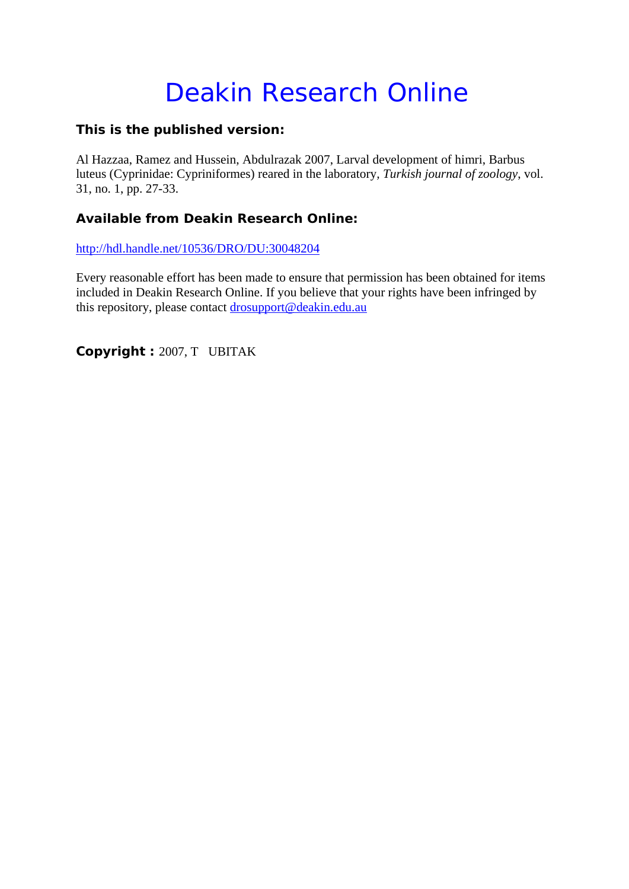# Deakin Research Online

### **This is the published version:**

Al Hazzaa, Ramez and Hussein, Abdulrazak 2007, Larval development of himri, Barbus luteus (Cyprinidae: Cypriniformes) reared in the laboratory*, Turkish journal of zoology*, vol. 31, no. 1, pp. 27-33.

## **Available from Deakin Research Online:**

http://hdl.handle.net/10536/DRO/DU:30048204

Every reasonable effort has been made to ensure that permission has been obtained for items included in Deakin Research Online. If you believe that your rights have been infringed by this repository, please contact drosupport@deakin.edu.au

**Copyright :** 2007, T UBITAK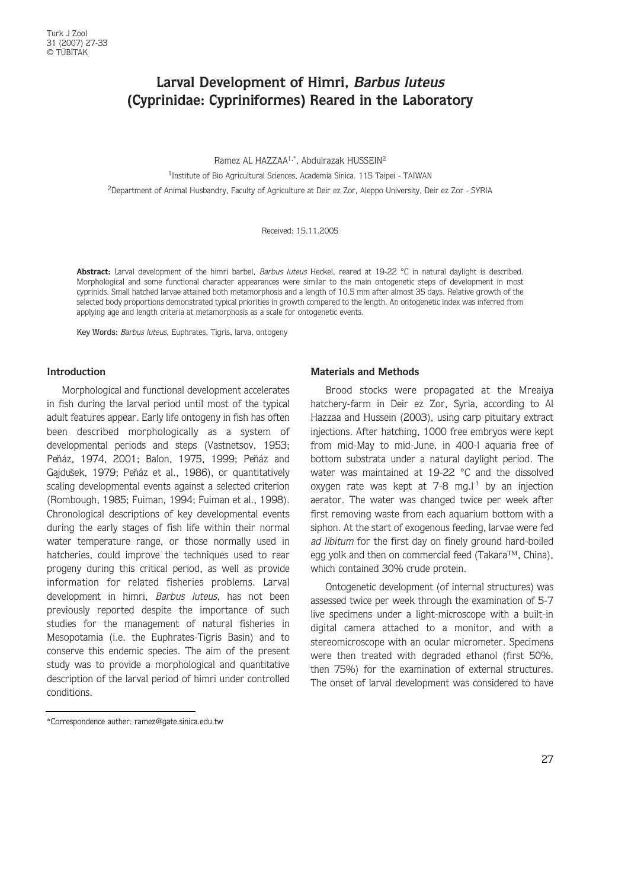## **Larval Development of Himri, Barbus luteus (Cyprinidae: Cypriniformes) Reared in the Laboratory**

Ramez AL HAZZAA1,\*, Abdulrazak HUSSEIN2

<sup>1</sup> Institute of Bio Agricultural Sciences, Academia Sinica. 115 Taipei - TAIWAN 2Department of Animal Husbandry, Faculty of Agriculture at Deir ez Zor, Aleppo University, Deir ez Zor - SYRIA

Received: 15.11.2005

Abstract: Larval development of the himri barbel, Barbus luteus Heckel, reared at 19-22 °C in natural daylight is described. Morphological and some functional character appearances were similar to the main ontogenetic steps of development in most cyprinids. Small hatched larvae attained both metamorphosis and a length of 10.5 mm after almost 35 days. Relative growth of the selected body proportions demonstrated typical priorities in growth compared to the length. An ontogenetic index was inferred from applying age and length criteria at metamorphosis as a scale for ontogenetic events.

Key Words: Barbus luteus, Euphrates, Tigris, larva, ontogeny

#### **Introduction**

Morphological and functional development accelerates in fish during the larval period until most of the typical adult features appear. Early life ontogeny in fish has often been described morphologically as a system of developmental periods and steps (Vastnetsov, 1953; Peňáz, 1974, 2001; Balon, 1975, 1999; Peňáz and Gajdušek, 1979; Peňáz et al., 1986), or quantitatively scaling developmental events against a selected criterion (Rombough, 1985; Fuiman, 1994; Fuiman et al., 1998). Chronological descriptions of key developmental events during the early stages of fish life within their normal water temperature range, or those normally used in hatcheries, could improve the techniques used to rear progeny during this critical period, as well as provide information for related fisheries problems. Larval development in himri, Barbus luteus, has not been previously reported despite the importance of such studies for the management of natural fisheries in Mesopotamia (i.e. the Euphrates-Tigris Basin) and to conserve this endemic species. The aim of the present study was to provide a morphological and quantitative description of the larval period of himri under controlled conditions.

#### **Materials and Methods**

Brood stocks were propagated at the Mreaiya hatchery-farm in Deir ez Zor, Syria, according to Al Hazzaa and Hussein (2003), using carp pituitary extract injections. After hatching, 1000 free embryos were kept from mid-May to mid-June, in 400-l aquaria free of bottom substrata under a natural daylight period. The water was maintained at 19-22 °C and the dissolved oxygen rate was kept at  $7-8$  mg. $l^{-1}$  by an injection aerator. The water was changed twice per week after first removing waste from each aquarium bottom with a siphon. At the start of exogenous feeding, larvae were fed ad libitum for the first day on finely ground hard-boiled egg yolk and then on commercial feed (Takara™, China), which contained 30% crude protein.

Ontogenetic development (of internal structures) was assessed twice per week through the examination of 5-7 live specimens under a light-microscope with a built-in digital camera attached to a monitor, and with a stereomicroscope with an ocular micrometer. Specimens were then treated with degraded ethanol (first 50%, then 75%) for the examination of external structures. The onset of larval development was considered to have

<sup>\*</sup>Correspondence auther: ramez@gate.sinica.edu.tw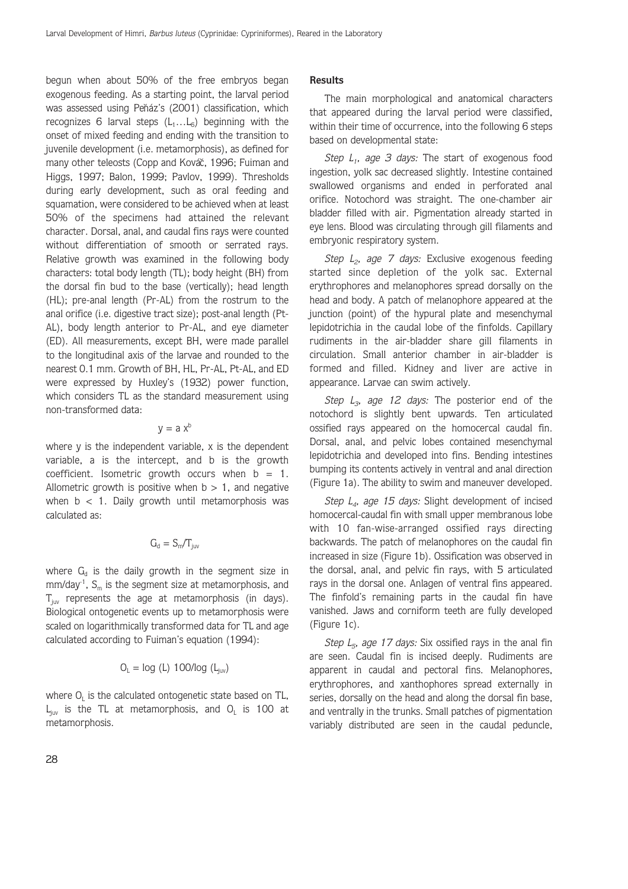begun when about 50% of the free embryos began exogenous feeding. As a starting point, the larval period was assessed using Peňáz's (2001) classification, which recognizes 6 larval steps  $(L_1...L_6)$  beginning with the onset of mixed feeding and ending with the transition to juvenile development (i.e. metamorphosis), as defined for many other teleosts (Copp and Kováč, 1996; Fuiman and Higgs, 1997; Balon, 1999; Pavlov, 1999). Thresholds during early development, such as oral feeding and squamation, were considered to be achieved when at least 50% of the specimens had attained the relevant character. Dorsal, anal, and caudal fins rays were counted without differentiation of smooth or serrated rays. Relative growth was examined in the following body characters: total body length (TL); body height (BH) from the dorsal fin bud to the base (vertically); head length (HL); pre-anal length (Pr-AL) from the rostrum to the anal orifice (i.e. digestive tract size); post-anal length (Pt-AL), body length anterior to Pr-AL, and eye diameter (ED). All measurements, except BH, were made parallel to the longitudinal axis of the larvae and rounded to the nearest 0.1 mm. Growth of BH, HL, Pr-AL, Pt-AL, and ED were expressed by Huxley's (1932) power function, which considers TL as the standard measurement using non-transformed data:

 $v = a x^b$ 

where y is the independent variable, x is the dependent variable, a is the intercept, and b is the growth coefficient. Isometric growth occurs when  $b = 1$ . Allometric growth is positive when  $b > 1$ , and negative when  $b < 1$ . Daily growth until metamorphosis was calculated as:

$$
G_{\text{d}}=S_{\text{m}}/T_{\text{juv}}
$$

where  $G_d$  is the daily growth in the segment size in  $mm/day<sup>1</sup>$ , S<sub>m</sub> is the segment size at metamorphosis, and  $T_{ijy}$  represents the age at metamorphosis (in days). Biological ontogenetic events up to metamorphosis were scaled on logarithmically transformed data for TL and age calculated according to Fuiman's equation (1994):

$$
O_L = log (L) 100/log (L_{juv})
$$

where  $O<sub>i</sub>$  is the calculated ontogenetic state based on TL,  $L_{\text{inv}}$  is the TL at metamorphosis, and  $O_L$  is 100 at metamorphosis.

#### **Results**

The main morphological and anatomical characters that appeared during the larval period were classified, within their time of occurrence, into the following 6 steps based on developmental state:

Step  $L_1$ , age 3 days: The start of exogenous food ingestion, yolk sac decreased slightly. Intestine contained swallowed organisms and ended in perforated anal orifice. Notochord was straight. The one-chamber air bladder filled with air. Pigmentation already started in eye lens. Blood was circulating through gill filaments and embryonic respiratory system.

Step  $L_2$ , age 7 days: Exclusive exogenous feeding started since depletion of the yolk sac. External erythrophores and melanophores spread dorsally on the head and body. A patch of melanophore appeared at the junction (point) of the hypural plate and mesenchymal lepidotrichia in the caudal lobe of the finfolds. Capillary rudiments in the air-bladder share gill filaments in circulation. Small anterior chamber in air-bladder is formed and filled. Kidney and liver are active in appearance. Larvae can swim actively.

Step  $L_3$ , age 12 days: The posterior end of the notochord is slightly bent upwards. Ten articulated ossified rays appeared on the homocercal caudal fin. Dorsal, anal, and pelvic lobes contained mesenchymal lepidotrichia and developed into fins. Bending intestines bumping its contents actively in ventral and anal direction (Figure 1a). The ability to swim and maneuver developed.

Step  $L_4$ , age 15 days: Slight development of incised homocercal-caudal fin with small upper membranous lobe with 10 fan-wise-arranged ossified rays directing backwards. The patch of melanophores on the caudal fin increased in size (Figure 1b). Ossification was observed in the dorsal, anal, and pelvic fin rays, with 5 articulated rays in the dorsal one. Anlagen of ventral fins appeared. The finfold's remaining parts in the caudal fin have vanished. Jaws and corniform teeth are fully developed (Figure 1c).

Step  $L_5$ , age 17 days: Six ossified rays in the anal fin are seen. Caudal fin is incised deeply. Rudiments are apparent in caudal and pectoral fins. Melanophores, erythrophores, and xanthophores spread externally in series, dorsally on the head and along the dorsal fin base, and ventrally in the trunks. Small patches of pigmentation variably distributed are seen in the caudal peduncle,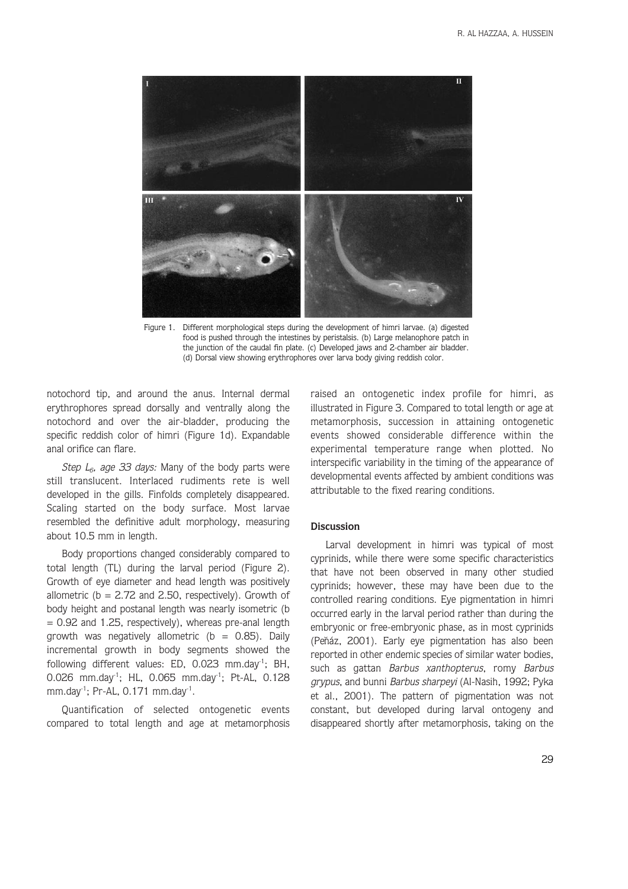

Figure 1. Different morphological steps during the development of himri larvae. (a) digested food is pushed through the intestines by peristalsis. (b) Large melanophore patch in the junction of the caudal fin plate. (c) Developed jaws and 2-chamber air bladder. (d) Dorsal view showing erythrophores over larva body giving reddish color.

notochord tip, and around the anus. Internal dermal erythrophores spread dorsally and ventrally along the notochord and over the air-bladder, producing the specific reddish color of himri (Figure 1d). Expandable anal orifice can flare.

Step  $L_6$ , age 33 days: Many of the body parts were still translucent. Interlaced rudiments rete is well developed in the gills. Finfolds completely disappeared. Scaling started on the body surface. Most larvae resembled the definitive adult morphology, measuring about 10.5 mm in length.

Body proportions changed considerably compared to total length (TL) during the larval period (Figure 2). Growth of eye diameter and head length was positively allometric ( $b = 2.72$  and 2.50, respectively). Growth of body height and postanal length was nearly isometric (b  $= 0.92$  and 1.25, respectively), whereas pre-anal length growth was negatively allometric ( $b = 0.85$ ). Daily incremental growth in body segments showed the following different values: ED, 0.023 mm.day<sup>1</sup>; BH, 0.026 mm.day<sup>1</sup>; HL, 0.065 mm.day<sup>1</sup>; Pt-AL, 0.128 mm.day<sup>-1</sup>; Pr-AL, 0.171 mm.day<sup>-1</sup>.

Quantification of selected ontogenetic events compared to total length and age at metamorphosis raised an ontogenetic index profile for himri, as illustrated in Figure 3. Compared to total length or age at metamorphosis, succession in attaining ontogenetic events showed considerable difference within the experimental temperature range when plotted. No interspecific variability in the timing of the appearance of developmental events affected by ambient conditions was attributable to the fixed rearing conditions.

#### **Discussion**

Larval development in himri was typical of most cyprinids, while there were some specific characteristics that have not been observed in many other studied cyprinids; however, these may have been due to the controlled rearing conditions. Eye pigmentation in himri occurred early in the larval period rather than during the embryonic or free-embryonic phase, as in most cyprinids (Peňáz, 2001). Early eye pigmentation has also been reported in other endemic species of similar water bodies, such as gattan Barbus xanthopterus, romy Barbus grypus, and bunni Barbus sharpeyi (Al-Nasih, 1992; Pyka et al., 2001). The pattern of pigmentation was not constant, but developed during larval ontogeny and disappeared shortly after metamorphosis, taking on the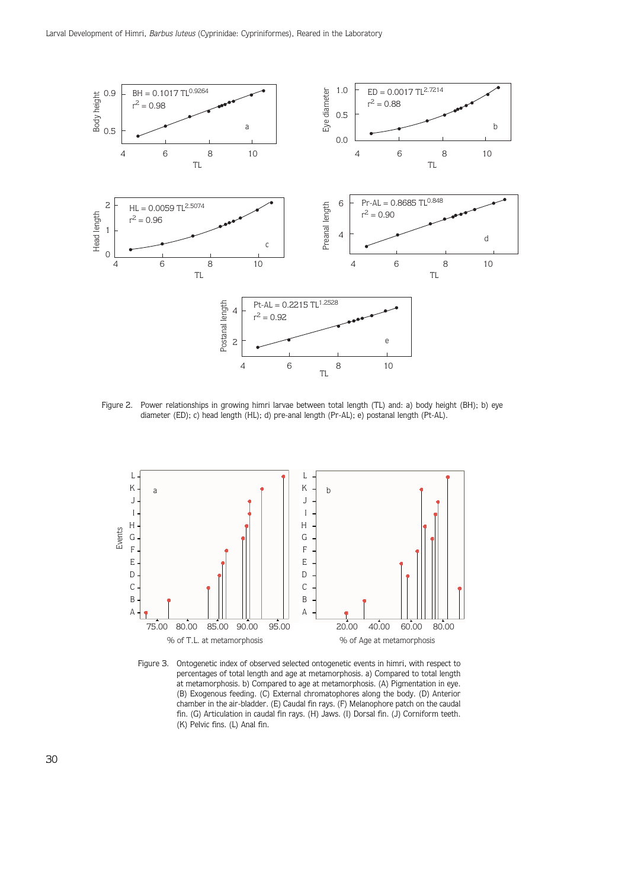

Figure 2. Power relationships in growing himri larvae between total length (TL) and: a) body height (BH); b) eye diameter (ED); c) head length (HL); d) pre-anal length (Pr-AL); e) postanal length (Pt-AL).



Figure 3. Ontogenetic index of observed selected ontogenetic events in himri, with respect to percentages of total length and age at metamorphosis. a) Compared to total length at metamorphosis. b) Compared to age at metamorphosis. (A) Pigmentation in eye. (B) Exogenous feeding. (C) External chromatophores along the body. (D) Anterior chamber in the air-bladder. (E) Caudal fin rays. (F) Melanophore patch on the caudal fin. (G) Articulation in caudal fin rays. (H) Jaws. (I) Dorsal fin. (J) Corniform teeth. (K) Pelvic fins. (L) Anal fin.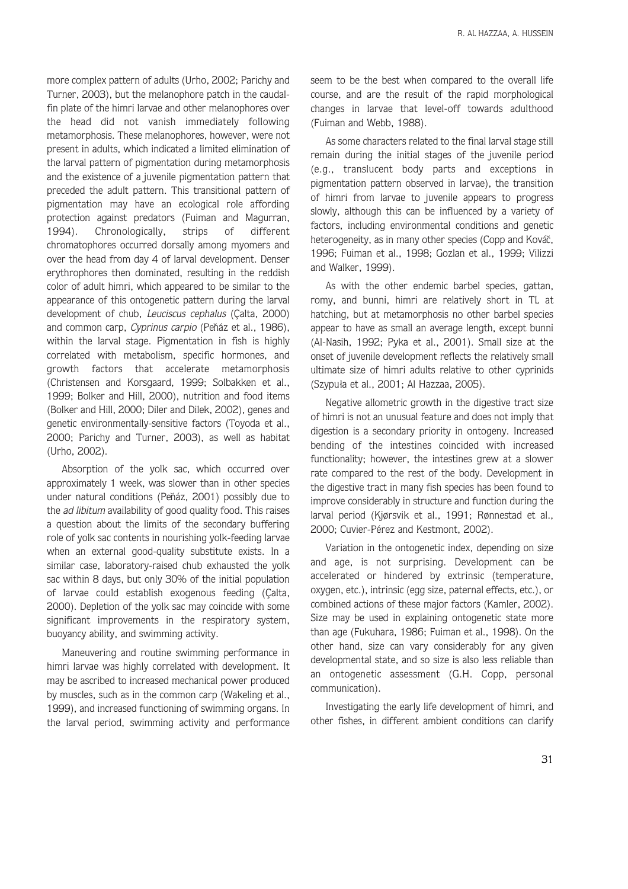more complex pattern of adults (Urho, 2002; Parichy and Turner, 2003), but the melanophore patch in the caudalfin plate of the himri larvae and other melanophores over the head did not vanish immediately following metamorphosis. These melanophores, however, were not present in adults, which indicated a limited elimination of the larval pattern of pigmentation during metamorphosis and the existence of a juvenile pigmentation pattern that preceded the adult pattern. This transitional pattern of pigmentation may have an ecological role affording protection against predators (Fuiman and Magurran, 1994). Chronologically, strips of different chromatophores occurred dorsally among myomers and over the head from day 4 of larval development. Denser erythrophores then dominated, resulting in the reddish color of adult himri, which appeared to be similar to the appearance of this ontogenetic pattern during the larval development of chub, Leuciscus cephalus (Çalta, 2000) and common carp, Cyprinus carpio (Peňáz et al., 1986), within the larval stage. Pigmentation in fish is highly correlated with metabolism, specific hormones, and growth factors that accelerate metamorphosis (Christensen and Korsgaard, 1999; Solbakken et al., 1999; Bolker and Hill, 2000), nutrition and food items (Bolker and Hill, 2000; Diler and Dilek, 2002), genes and genetic environmentally-sensitive factors (Toyoda et al., 2000; Parichy and Turner, 2003), as well as habitat (Urho, 2002).

Absorption of the yolk sac, which occurred over approximately 1 week, was slower than in other species under natural conditions (Peňáz, 2001) possibly due to the *ad libitum* availability of good quality food. This raises a question about the limits of the secondary buffering role of yolk sac contents in nourishing yolk-feeding larvae when an external good-quality substitute exists. In a similar case, laboratory-raised chub exhausted the yolk sac within 8 days, but only 30% of the initial population of larvae could establish exogenous feeding (Çalta, 2000). Depletion of the yolk sac may coincide with some significant improvements in the respiratory system, buoyancy ability, and swimming activity.

Maneuvering and routine swimming performance in himri larvae was highly correlated with development. It may be ascribed to increased mechanical power produced by muscles, such as in the common carp (Wakeling et al., 1999), and increased functioning of swimming organs. In the larval period, swimming activity and performance seem to be the best when compared to the overall life course, and are the result of the rapid morphological changes in larvae that level-off towards adulthood (Fuiman and Webb, 1988).

As some characters related to the final larval stage still remain during the initial stages of the juvenile period (e.g., translucent body parts and exceptions in pigmentation pattern observed in larvae), the transition of himri from larvae to juvenile appears to progress slowly, although this can be influenced by a variety of factors, including environmental conditions and genetic heterogeneity, as in many other species (Copp and Kováč, 1996; Fuiman et al., 1998; Gozlan et al., 1999; Vilizzi and Walker, 1999).

As with the other endemic barbel species, gattan, romy, and bunni, himri are relatively short in TL at hatching, but at metamorphosis no other barbel species appear to have as small an average length, except bunni (Al-Nasih, 1992; Pyka et al., 2001). Small size at the onset of juvenile development reflects the relatively small ultimate size of himri adults relative to other cyprinids (Szypu´ la et al., 2001; Al Hazzaa, 2005).

Negative allometric growth in the digestive tract size of himri is not an unusual feature and does not imply that digestion is a secondary priority in ontogeny. Increased bending of the intestines coincided with increased functionality; however, the intestines grew at a slower rate compared to the rest of the body. Development in the digestive tract in many fish species has been found to improve considerably in structure and function during the larval period (Kjørsvik et al., 1991; Rønnestad et al., 2000; Cuvier-Pérez and Kestmont, 2002).

Variation in the ontogenetic index, depending on size and age, is not surprising. Development can be accelerated or hindered by extrinsic (temperature, oxygen, etc.), intrinsic (egg size, paternal effects, etc.), or combined actions of these major factors (Kamler, 2002). Size may be used in explaining ontogenetic state more than age (Fukuhara, 1986; Fuiman et al., 1998). On the other hand, size can vary considerably for any given developmental state, and so size is also less reliable than an ontogenetic assessment (G.H. Copp, personal communication).

Investigating the early life development of himri, and other fishes, in different ambient conditions can clarify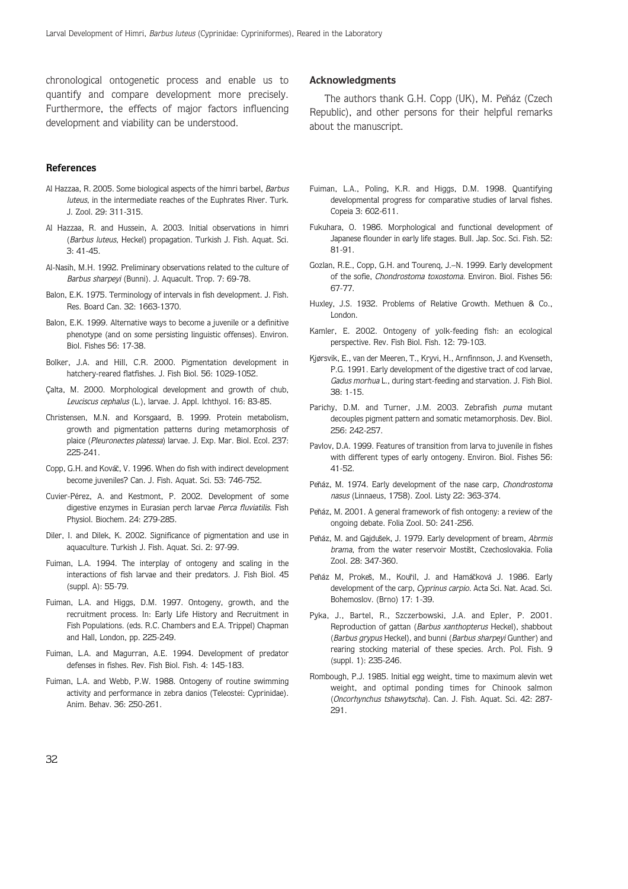chronological ontogenetic process and enable us to quantify and compare development more precisely. Furthermore, the effects of major factors influencing development and viability can be understood.

#### **References**

- Al Hazzaa, R. 2005. Some biological aspects of the himri barbel, Barbus luteus, in the intermediate reaches of the Euphrates River. Turk. J. Zool. 29: 311-315.
- Al Hazzaa, R. and Hussein, A. 2003. Initial observations in himri (Barbus luteus, Heckel) propagation. Turkish J. Fish. Aquat. Sci. 3: 41-45.
- Al-Nasih, M.H. 1992. Preliminary observations related to the culture of Barbus sharpeyi (Bunni). J. Aquacult. Trop. 7: 69-78.
- Balon, E.K. 1975. Terminology of intervals in fish development. J. Fish. Res. Board Can. 32: 1663-1370.
- Balon, E.K. 1999. Alternative ways to become a juvenile or a definitive phenotype (and on some persisting linguistic offenses). Environ. Biol. Fishes 56: 17-38.
- Bolker, J.A. and Hill, C.R. 2000. Pigmentation development in hatchery-reared flatfishes. J. Fish Biol. 56: 1029-1052.
- Çalta, M. 2000. Morphological development and growth of chub, Leuciscus cephalus (L.), larvae. J. Appl. Ichthyol. 16: 83-85.
- Christensen, M.N. and Korsgaard, B. 1999. Protein metabolism, growth and pigmentation patterns during metamorphosis of plaice (Pleuronectes platessa) larvae. J. Exp. Mar. Biol. Ecol. 237: 225-241.
- Copp, G.H. and Kováč, V. 1996. When do fish with indirect development become juveniles? Can. J. Fish. Aquat. Sci. 53: 746-752.
- Cuvier-Pérez, A. and Kestmont, P. 2002. Development of some digestive enzymes in Eurasian perch larvae Perca fluviatilis. Fish Physiol. Biochem. 24: 279-285.
- Diler, I. and Dilek, K. 2002. Significance of pigmentation and use in aquaculture. Turkish J. Fish. Aquat. Sci. 2: 97-99.
- Fuiman, L.A. 1994. The interplay of ontogeny and scaling in the interactions of fish larvae and their predators. J. Fish Biol. 45 (suppl. A): 55-79.
- Fuiman, L.A. and Higgs, D.M. 1997. Ontogeny, growth, and the recruitment process. In: Early Life History and Recruitment in Fish Populations. (eds. R.C. Chambers and E.A. Trippel) Chapman and Hall, London, pp. 225-249.
- Fuiman, L.A. and Magurran, A.E. 1994. Development of predator defenses in fishes. Rev. Fish Biol. Fish. 4: 145-183.
- Fuiman, L.A. and Webb, P.W. 1988. Ontogeny of routine swimming activity and performance in zebra danios (Teleostei: Cyprinidae). Anim. Behav. 36: 250-261.

#### **Acknowledgments**

The authors thank G.H. Copp (UK), M. Peňáz (Czech Republic), and other persons for their helpful remarks about the manuscript.

- Fuiman, L.A., Poling, K.R. and Higgs, D.M. 1998. Quantifying developmental progress for comparative studies of larval fishes. Copeia 3: 602-611.
- Fukuhara, O. 1986. Morphological and functional development of Japanese flounder in early life stages. Bull. Jap. Soc. Sci. Fish. 52: 81-91.
- Gozlan, R.E., Copp, G.H. and Tourenq, J.–N. 1999. Early development of the sofie, Chondrostoma toxostoma. Environ. Biol. Fishes 56: 67-77.
- Huxley, J.S. 1932. Problems of Relative Growth. Methuen & Co., London.
- Kamler, E. 2002. Ontogeny of yolk-feeding fish: an ecological perspective. Rev. Fish Biol. Fish. 12: 79-103.
- Kjørsvik, E., van der Meeren, T., Kryvi, H., Arnfinnson, J. and Kvenseth, P.G. 1991. Early development of the digestive tract of cod larvae, Gadus morhua L., during start-feeding and starvation. J. Fish Biol. 38: 1-15.
- Parichy, D.M. and Turner, J.M. 2003. Zebrafish puma mutant decouples pigment pattern and somatic metamorphosis. Dev. Biol. 256: 242-257.
- Pavlov, D.A. 1999. Features of transition from larva to juvenile in fishes with different types of early ontogeny. Environ. Biol. Fishes 56: 41-52.
- Peňáz, M. 1974. Early development of the nase carp, Chondrostoma nasus (Linnaeus, 1758). Zool. Listy 22: 363-374.
- Peňáz, M. 2001. A general framework of fish ontogeny: a review of the ongoing debate. Folia Zool. 50: 241-256.
- Peňáz, M. and Gajdušek, J. 1979. Early development of bream, Abrmis brama, from the water reservoir Mostišt, Czechoslovakia, Folia Zool. 28: 347-360.
- Peňáz M, Prokeš, M., Kouřil, J. and Hamáčková J. 1986. Early development of the carp, Cyprinus carpio. Acta Sci. Nat. Acad. Sci. Bohemoslov. (Brno) 17: 1-39.
- Pyka, J., Bartel, R., Szczerbowski, J.A. and Epler, P. 2001. Reproduction of gattan (Barbus xanthopterus Heckel), shabbout (Barbus grypus Heckel), and bunni (Barbus sharpeyi Gunther) and rearing stocking material of these species. Arch. Pol. Fish. 9 (suppl. 1): 235-246.
- Rombough, P.J. 1985. Initial egg weight, time to maximum alevin wet weight, and optimal ponding times for Chinook salmon (Oncorhynchus tshawytscha). Can. J. Fish. Aquat. Sci. 42: 287- 291.